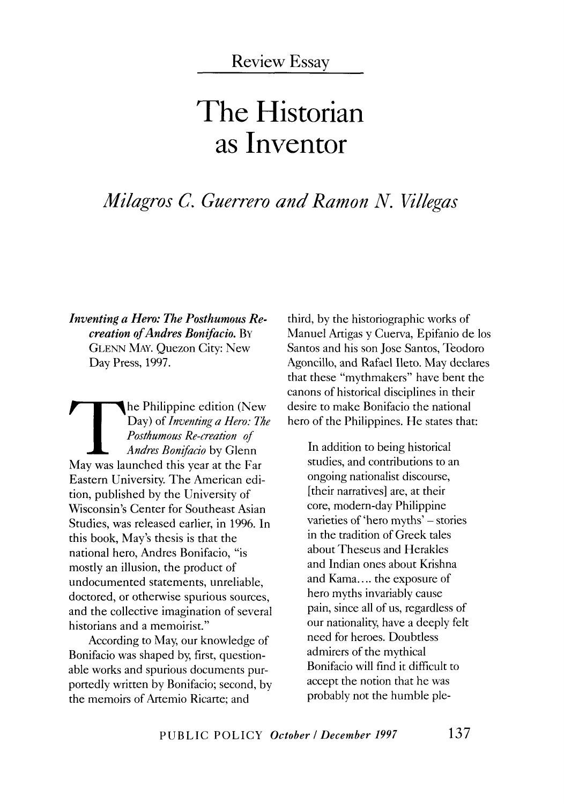# **The Historian as Inventor**

## *Milagros C. Guerrero and Ramon N. Villegas*

*Inventing a Hero: The Posthumous Recreation of Andres Bonifacio.* BY GLENN MAY. Quezon City: New Day Press, 1997.

The Philippine edition (New<br>Day) of *Inventing a Hero: The*<br>Posthumous Re-creation of<br>Andres Bonifacio by Glenn<br>May was launched this year at the Far Day) of *Inventing a Hero: The Posthumous Re-creation of Andres Bonifacio* by Glenn May was launched this year at the Far Eastern University. The American edition, published by the University of Wisconsin's Center for Southeast Asian Studies, was released earlier, in 1996. In this book, May's thesis is that the national hero, Andres Bonifacio, "is mostly an illusion, the product of undocumented statements, unreliable, doctored, or otherwise spurious sources, and the collective imagination of several historians and a memoirist."

According to May, our knowledge of Bonifacio was shaped by, first, questionable works and spurious documents purportedly written by Bonifacio; second, by the memoirs of Artemio Ricarte; and

third, by the historiographic works of Manuel Artigas y Cuerva, Epifanio de los Santos and his son Jose Santos, Teodoro Agoncillo, and Rafael Ileto. May declares that these "mythmakers" have bent the canons of historical disciplines in their desire to make Bonifacio the national hero of the Philippines. He states that:

In addition to being historical studies, and contributions to an ongoing nationalist discourse, [their narratives] are, at their core, modern-day Philippine varieties of 'hero myths' – stories in the tradition of Greek tales about Theseus and Herakles and Indian ones about Krishna and Kama.... the exposure of hero myths invariably cause pain, since all of us, regardless of our nationality, have a deeply felt need for heroes. Doubtless admirers of the mythical Bonifacio will find it difficult to accept the notion that he was probably not the humble pie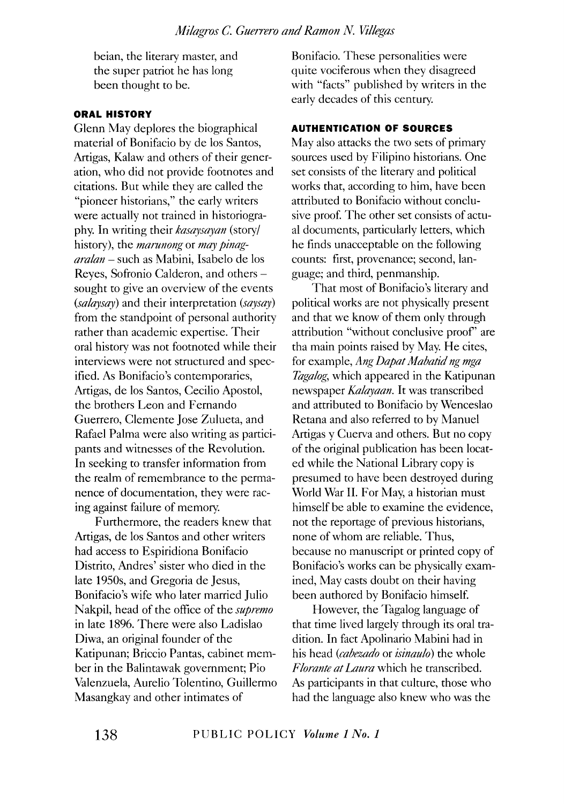beian, the literary master, and the super patriot he has long been thought to be.

### **ORAL HISTORY**

Glenn May deplores the biographical material of Bonifacio by de los Santos, Artigas, Kalaw and others of their generation, who did not provide footnotes and citations. But while they are called the "pioneer historians," the early writers were actually not trained in historiography. In writing their *kasaysayan* (story/ history), the *marunong* or *may pinagaralan* - such as Mabini, Isabelo de los Reyes, Sofronio Calderon, and others sought to give an overview of the events *(salaysay)* and their interpretation *(saysay)*  from the standpoint of personal authority rather than academic expertise. Their oral history was not footnoted while their interviews were not structured and specified. As Bonifacio's contemporaries, Artigas, de los Santos, Cecilia Apostol, the brothers Leon and Fernando Guerrero, Clemente Jose Zulueta, and Rafael Palma were also writing as participants and witnesses of the Revolution. In seeking to transfer information from the realm of remembrance to the permanence of documentation, they were racing against failure of memory.

Furthermore, the readers knew that Artigas, de los Santos and other writers had access to Espiridiona Bonifacio Distrito, Andres' sister who died in the late 1950s, and Gregoria de Jesus, Bonifacio's wife who later married Julio Nakpil, head of the office of the *supremo* in late 1896. There were also Ladislao Diwa, an original founder of the Katipunan; Briccio Pantas, cabinet member in the Balintawak government; Pio Valenzuela, Aurelio Tolentino, Guillermo Masangkay and other intimates of

Bonifacio. These personalities were quite vociferous when they disagreed with "facts" published by writers in the early decades of this century.

#### **AUTHENTICATION OF SOURCES**

May also attacks the two sets of primary sources used by Filipino historians. One set consists of the literary and political works that, according to him, have been attributed to Bonifacio without conclusive proof. The other set consists of actual documents, particularly letters, which he finds unacceptable on the following counts: first, provenance; second, language; and third, penmanship.

That most of Bonifacio's literary and political works are not physically present and that we know of them only through attribution "without conclusive proof' are tha main points raised by May. He cites, for example, *Ang Dapat Mabatid ng mga Tagalog,* which appeared in the Katipunan newspaper *Kalayaan.* It was transcribed and attributed to Bonifacio by Wenceslao Retana and also referred to by Manuel Artigas y Cuerva and others. But no copy of the original publication has been located while the National Library copy is presumed to have been destroyed during World War II. For May, a historian must himself be able to examine the evidence, not the reportage of previous historians, none of whom are reliable. Thus, because no manuscript or printed copy of Bonifacio's works can be physically examined, May casts doubt on their having been authored by Bonifacio himself.

However, the Tagalog language of that time lived largely through its oral tradition. In fact Apolinario Mabini had in his head *(cabezado* or *isinaulo)* the whole *Florante at Laura* which he transcribed. As participants in that culture, those who had the language also knew who was the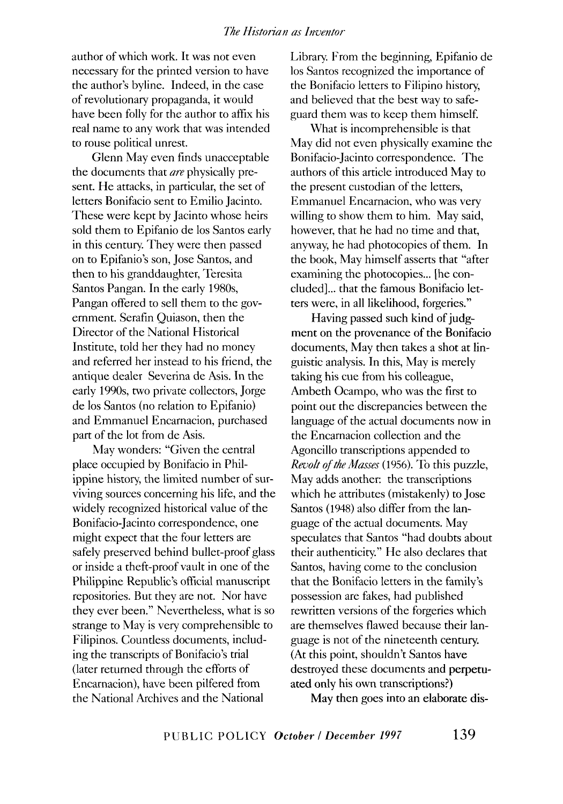author of which work. It was not even necessary for the printed version to have the author's byline. Indeed, in the case of revolutionary propaganda, it would have been folly for the author to affix his real name to any work that was intended to rouse political unrest.

Glenn May even finds unacceptable the documents that *are* physically present. He attacks, in particular, the set of letters Bonifacio sent to Emilio Jacinto. These were kept by Jacinto whose heirs sold them to Epifanio de los Santos early in this century. They were then passed on to Epifanio's son, Jose Santos, and then to his granddaughter, Teresita Santos Pangan. In the early 1980s, Pangan offered to sell them to the government. Serafin Quiason, then the Director of the National Historical Institute, told her they had no money and referred her instead to his friend, the antique dealer Severina de Asis. In the early 1990s, two private collectors, Jorge de los Santos (no relation to Epifanio) and Emmanuel Encarnacion, purchased part of the lot from de Asis.

May wonders: "Given the central place occupied by Bonifacio in Philippine history, the limited number of surviving sources concerning his life, and the widely recognized historical value of the Bonifacio-Jacinta correspondence, one might expect that the four letters are safely preserved behind bullet-proof glass or inside a theft-proof vault in one of the Philippine Republic's official manuscript repositories. But they are not. Nor have they ever been." Nevertheless, what is so strange to May is very comprehensible to Filipinos. Countless documents, including the transcripts of Bonifacio's trial (later returned through the efforts of Encarnacion), have been pilfered from the National Archives and the National

Library. From the beginning, Epifanio de los Santos recognized the importance of the Bonifacio letters to Filipino history, and believed that the best way to safeguard them was to keep them himself.

What is incomprehensible is that May did not even physically examine the Bonifacio-Jacinta correspondence. The authors of this article introduced May to the present custodian of the letters, Emmanuel Encarnacion, who was very willing to show them to him. May said, however, that he had no time and that, anyway, he had photocopies of them. In the book, May himself asserts that "after examining the photocopies... [he concluded] ... that the famous Bonifacio letters were, in all likelihood, forgeries."

Having passed such kind of judgment on the provenance of the Bonifacio documents, May then takes a shot at linguistic analysis. In this, May is merely taking his cue from his colleague, Ambeth Ocampo, who was the first to point out the discrepancies between the language of the actual documents now in the Encarnacion collection and the Agoncillo transcriptions appended to *Revolt of the Masses* ( 1956 ). To this puzzle, May adds another: the transcriptions which he attributes (mistakenly) to Jose Santos (1948) also differ from the language of the actual documents. May speculates that Santos "had doubts about their authenticity." He also declares that Santos, having come to the conclusion that the Bonifacio letters in the family's possession are fakes, had published rewritten versions of the forgeries which are themselves flawed because their language is not of the nineteenth century. (At this point, shouldn't Santos have destroyed these documents and perpetuated only his own transcriptions?)

May then goes into an elaborate dis-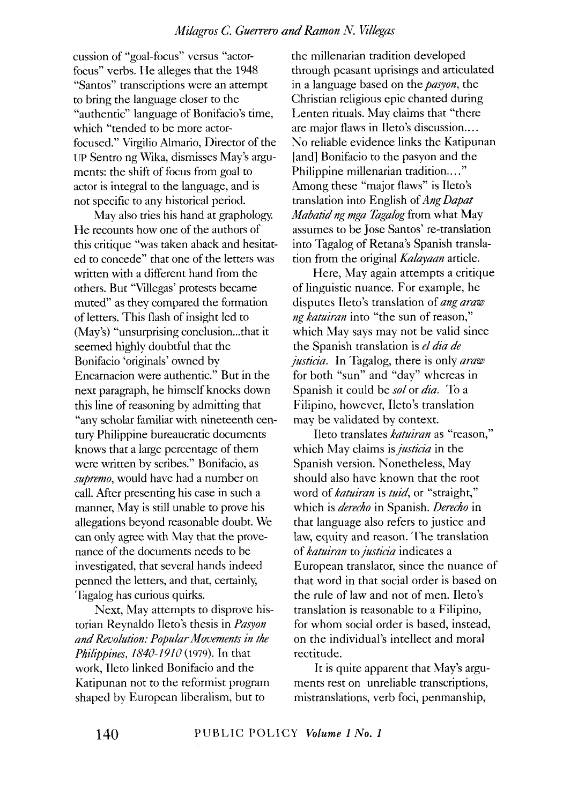cussion of "goal-focus" versus "actorfocus" verbs. He alleges that the 1948 "Santos" transcriptions were an attempt to bring the language closer to the "authentic" language of Bonifacio's time, which "tended to be more actorfocused." Virgilio Almario, Director of the UP Sentro ng Wika, dismisses May's arguments: the shift of focus from goal to actor is integral to the language, and is not specific to any historical period.

May also tries his hand at graphology. He recounts how one of the authors of this critique "was taken aback and hesitated to concede" that one of the letters was written with a different hand from the others. But "Villegas' protests became muted" as they compared the formation of letters. This flash of insight led to (May's) "unsurprising conclusion...that it seemed highly doubtful that the Bonifacio 'originals' owned by Encarnacion were authentic." But in the next paragraph, he himself knocks down this line of reasoning by admitting that "any scholar familiar with nineteenth century Philippine bureaucratic documents knows that a large percentage of them were written by scribes." Bonifacio, as *supremo,* would have had a number on call. After presenting his case in such a manner, May is still unable to prove his allegations beyond reasonable doubt. We can only agree with May that the provenance of the documents needs to be investigated, that several hands indeed penned the letters, and that, certainly, Tagalog has curious quirks.

Next, May attempts to disprove historian Reynaldo Ileto's thesis in *Pasyon and Revolution: Popular Movements in the Philippines, 1840-1910* (1979). In that work, Ileto linked Bonifacio and the Katipunan not to the reformist program shaped by European liberalism, but to

the millenarian tradition developed through peasant uprisings and articulated in a language based on the *pasyon,* the Christian religious epic chanted during Lenten rituals. May claims that "there are major flaws in Ileto's discussion.... No reliable evidence links the Katipunan [and] Bonifacio to the pasyon and the Philippine millenarian tradition...." Among these "major flaws" is Ileto's translation into English of *Ang Dapat Mabatid ng mga Tagalog* from what May assumes to be Jose Santos' re-translation into Tagalog of Retana's Spanish translation from the original *Kalayaan* article.

Here, May again attempts a critique of linguistic nuance. For example, he disputes Ileto's translation of *ang araw ng katuiran* into "the sun of reason," which May says may not be valid since the Spanish translation is *el dia de justicia.* In Tagalog, there is only *araw*  for both "sun" and "day" whereas in Spanish it could be *sol* or *dia.* To a Filipino, however, Ileto's translation may be validated by context.

Ileto translates *katuiran* as "reason," which May claims is *justicia* in the Spanish version. Nonetheless, May should also have known that the root word of *katuiran* is *tuid,* or "straight," which is *derecho* in Spanish. *Derecho* in that language also refers to justice and law, equity and reason. The translation of *katuiran* to *justicia* indicates a European translator, since the nuance of that word in that social order is based on the rule of law and not of men. Ileto's translation is reasonable to a Filipino, for whom social order is based, instead, on the individual's intellect and moral rectitude.

It is quite apparent that May's arguments rest on unreliable transcriptions, mistranslations, verb foci, penmanship,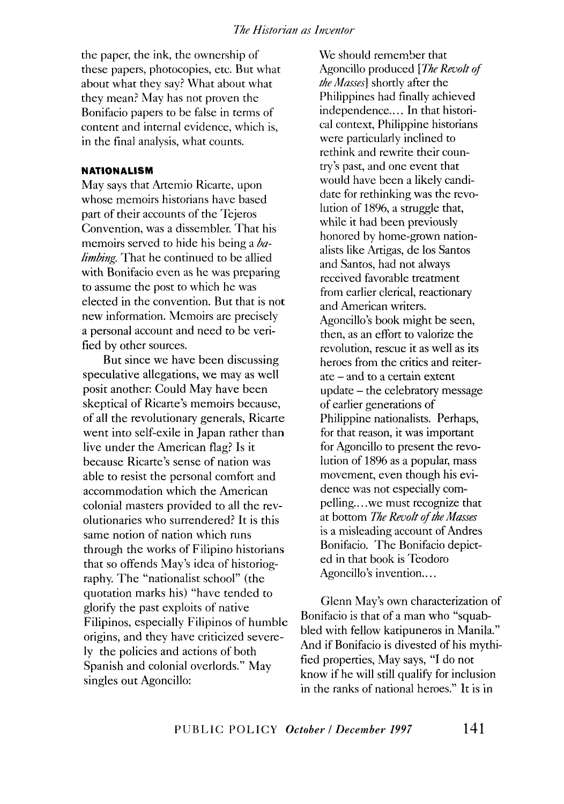the paper, the ink, the ownership of these papers, photocopies, etc. But what about what they say? What about what they mean? May has not proven the Bonifacio papers to be false in terms of content and internal evidence, which is, in the final analysis, what counts.

#### **NATIONALISM**

May says that Artemio Ricarte, upon whose memoirs historians have based part of their accounts of the Tejeros Convention, was a dissembler. That his memoirs served to hide his being a *balimbing.* That he continued to be allied with Bonifacio even as he was preparing to assume the post to which he was elected in the convention. But that is not new information. Memoirs are precisely a personal account and need to be verified by other sources.

But since we have been discussing speculative allegations, we may as well posit another: Could May have been skeptical of Ricarte's memoirs because, of all the revolutionary generals, Ricarte went into self-exile in Japan rather than live under the American flag? Is it because Ricarte's sense of nation was able to resist the personal comfort and accommodation which the American colonial masters provided to all the revolutionaries who surrendered? It is this same notion of nation which runs through the works of Filipino historians that so offends May's idea of historiography. The "nationalist school" (the quotation marks his) "have tended to glorify the past exploits of native Filipinos, especially Filipinos of humble origins, and they have criticized severely the policies and actions of both Spanish and colonial overlords." May singles out Agoncillo:

We should remember that Agoncillo produced *[The Revolt of the Masses]* shortly after the Philippines had finally achieved independence.... In that historical context, Philippine historians were particularly inclined to rethink and rewrite their country's past, and one event that would have been a likely candidate for rethinking was the revolution of 1896, a struggle that, while it had been previously honored by home-grown nationalists like Artigas, de los Santos and Santos, had not always received favorable treatment from earlier clerical, reactionary and American writers. Agoncillo's book might be seen, then, as an effort to valorize the revolution, rescue it as well as its heroes from the critics and reiterate - and to a certain extent update - the celebratory message of earlier generations of Philippine nationalists. Perhaps, for that reason, it was important for Agoncillo to present the revolution of 1896 as a popular, mass movement, even though his evidence was not especially compelling... we must recognize that at bottom *The Revolt of the Masses*  is a misleading account of Andres Bonifacio. The Bonifacio depicted in that book is Teodoro Agoncillo's invention....

Glenn May's own characterization of Bonifacio is that of a man who "squabbled with fellow katipuneros in Manila." And if Bonifacio is divested of his mythified properties, May says, "I do not know if he will still qualify for inclusion in the ranks of national heroes." It is in